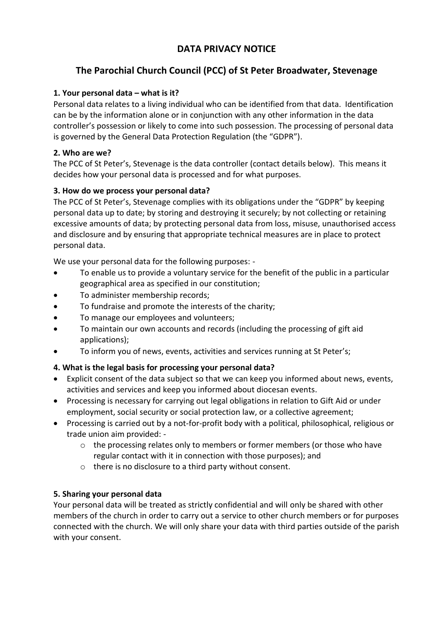# **DATA PRIVACY NOTICE**

# **The Parochial Church Council (PCC) of St Peter Broadwater, Stevenage**

## **1. Your personal data – what is it?**

Personal data relates to a living individual who can be identified from that data. Identification can be by the information alone or in conjunction with any other information in the data controller's possession or likely to come into such possession. The processing of personal data is governed by the General Data Protection Regulation (the "GDPR").

### **2. Who are we?**

The PCC of St Peter's, Stevenage is the data controller (contact details below). This means it decides how your personal data is processed and for what purposes.

## **3. How do we process your personal data?**

The PCC of St Peter's, Stevenage complies with its obligations under the "GDPR" by keeping personal data up to date; by storing and destroying it securely; by not collecting or retaining excessive amounts of data; by protecting personal data from loss, misuse, unauthorised access and disclosure and by ensuring that appropriate technical measures are in place to protect personal data.

We use your personal data for the following purposes: -

- To enable us to provide a voluntary service for the benefit of the public in a particular geographical area as specified in our constitution;
- To administer membership records;
- To fundraise and promote the interests of the charity;
- To manage our employees and volunteers;
- To maintain our own accounts and records (including the processing of gift aid applications);
- To inform you of news, events, activities and services running at St Peter's;

# **4. What is the legal basis for processing your personal data?**

- Explicit consent of the data subject so that we can keep you informed about news, events, activities and services and keep you informed about diocesan events.
- Processing is necessary for carrying out legal obligations in relation to Gift Aid or under employment, social security or social protection law, or a collective agreement;
- Processing is carried out by a not-for-profit body with a political, philosophical, religious or trade union aim provided:
	- o the processing relates only to members or former members (or those who have regular contact with it in connection with those purposes); and
	- o there is no disclosure to a third party without consent.

#### **5. Sharing your personal data**

Your personal data will be treated as strictly confidential and will only be shared with other members of the church in order to carry out a service to other church members or for purposes connected with the church. We will only share your data with third parties outside of the parish with your consent.